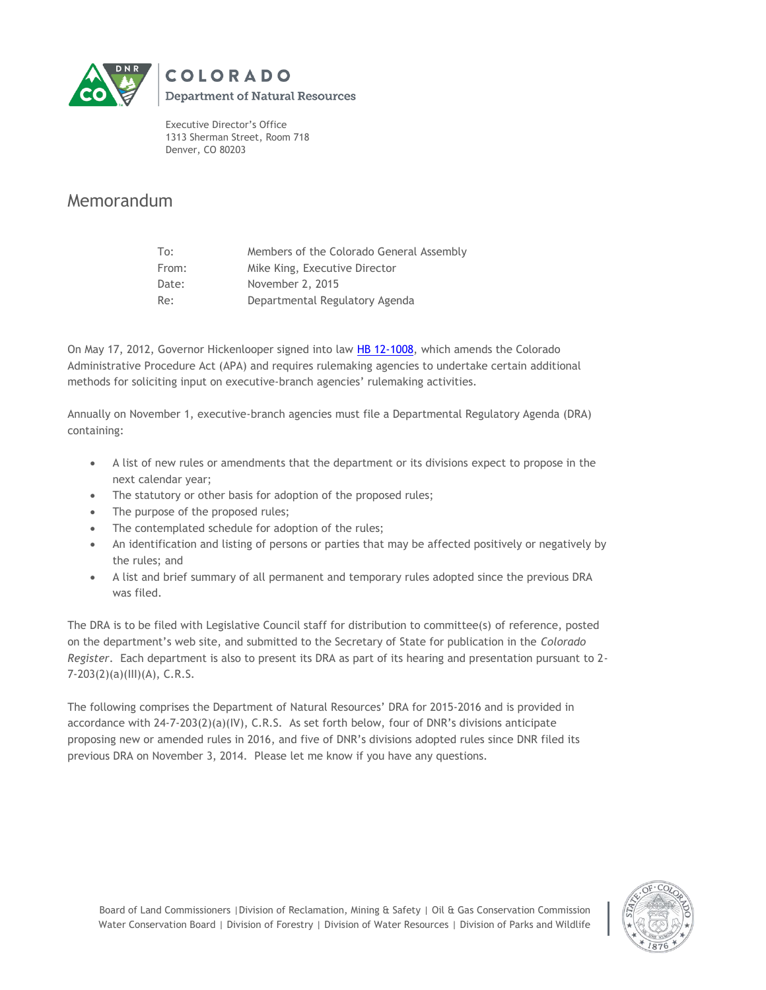

**Department of Natural Resources** 

Executive Director's Office 1313 Sherman Street, Room 718 Denver, CO 80203

**COLORADO** 

# Memorandum

| To:   | Members of the Colorado General Assembly |
|-------|------------------------------------------|
| From: | Mike King, Executive Director            |
| Date: | November 2, 2015                         |
| Re:   | Departmental Regulatory Agenda           |

On May 17, 2012, Governor Hickenlooper signed into law [HB 12-1008,](http://www.leg.state.co.us/clics/clics2012a/csl.nsf/fsbillcont3/9E777C8B957DCA3F87257981007F11F0?Open&file=1008_enr.pdf) which amends the Colorado Administrative Procedure Act (APA) and requires rulemaking agencies to undertake certain additional methods for soliciting input on executive-branch agencies' rulemaking activities.

Annually on November 1, executive-branch agencies must file a Departmental Regulatory Agenda (DRA) containing:

- A list of new rules or amendments that the department or its divisions expect to propose in the next calendar year;
- The statutory or other basis for adoption of the proposed rules;
- The purpose of the proposed rules;
- The contemplated schedule for adoption of the rules;
- An identification and listing of persons or parties that may be affected positively or negatively by the rules; and
- A list and brief summary of all permanent and temporary rules adopted since the previous DRA was filed.

The DRA is to be filed with Legislative Council staff for distribution to committee(s) of reference, posted on the department's web site, and submitted to the Secretary of State for publication in the *Colorado Register*. Each department is also to present its DRA as part of its hearing and presentation pursuant to 2- 7-203(2)(a)(III)(A), C.R.S.

The following comprises the Department of Natural Resources' DRA for 2015-2016 and is provided in accordance with 24-7-203(2)(a)(IV), C.R.S. As set forth below, four of DNR's divisions anticipate proposing new or amended rules in 2016, and five of DNR's divisions adopted rules since DNR filed its previous DRA on November 3, 2014. Please let me know if you have any questions.

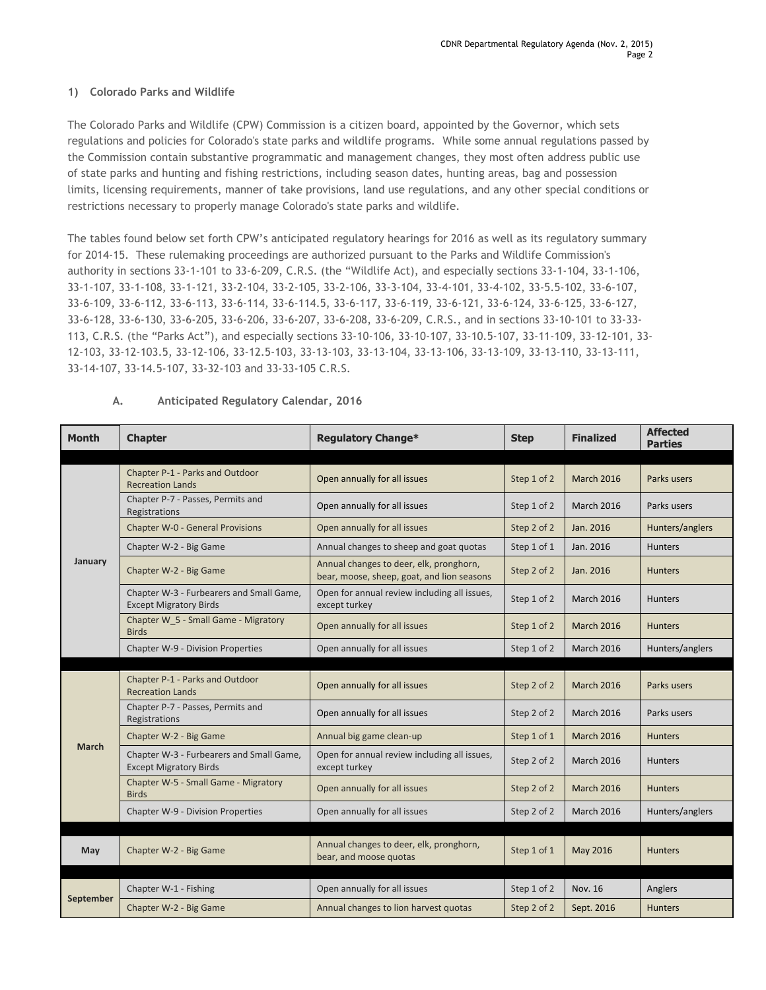#### **1) Colorado Parks and Wildlife**

The Colorado Parks and Wildlife (CPW) Commission is a citizen board, appointed by the Governor, which sets regulations and policies for Colorado's state parks and wildlife programs. While some annual regulations passed by the Commission contain substantive programmatic and management changes, they most often address public use of state parks and hunting and fishing restrictions, including season dates, hunting areas, bag and possession limits, licensing requirements, manner of take provisions, land use regulations, and any other special conditions or restrictions necessary to properly manage Colorado's state parks and wildlife.

The tables found below set forth CPW's anticipated regulatory hearings for 2016 as well as its regulatory summary for 2014-15. These rulemaking proceedings are authorized pursuant to the Parks and Wildlife Commission's authority in sections 33-1-101 to 33-6-209, C.R.S. (the "Wildlife Act), and especially sections 33-1-104, 33-1-106, 33-1-107, 33-1-108, 33-1-121, 33-2-104, 33-2-105, 33-2-106, 33-3-104, 33-4-101, 33-4-102, 33-5.5-102, 33-6-107, 33-6-109, 33-6-112, 33-6-113, 33-6-114, 33-6-114.5, 33-6-117, 33-6-119, 33-6-121, 33-6-124, 33-6-125, 33-6-127, 33-6-128, 33-6-130, 33-6-205, 33-6-206, 33-6-207, 33-6-208, 33-6-209, C.R.S., and in sections 33-10-101 to 33-33- 113, C.R.S. (the "Parks Act"), and especially sections 33-10-106, 33-10-107, 33-10.5-107, 33-11-109, 33-12-101, 33- 12-103, 33-12-103.5, 33-12-106, 33-12.5-103, 33-13-103, 33-13-104, 33-13-106, 33-13-109, 33-13-110, 33-13-111, 33-14-107, 33-14.5-107, 33-32-103 and 33-33-105 C.R.S.

| <b>Month</b> | <b>Chapter</b>                                                            | <b>Regulatory Change*</b>                                                             | <b>Step</b> | <b>Finalized</b>  | <b>Affected</b><br><b>Parties</b> |
|--------------|---------------------------------------------------------------------------|---------------------------------------------------------------------------------------|-------------|-------------------|-----------------------------------|
|              |                                                                           |                                                                                       |             |                   |                                   |
|              | Chapter P-1 - Parks and Outdoor<br><b>Recreation Lands</b>                | Open annually for all issues                                                          | Step 1 of 2 | <b>March 2016</b> | Parks users                       |
|              | Chapter P-7 - Passes, Permits and<br>Registrations                        | Open annually for all issues                                                          | Step 1 of 2 | <b>March 2016</b> | Parks users                       |
|              | <b>Chapter W-0 - General Provisions</b>                                   | Open annually for all issues                                                          | Step 2 of 2 | Jan. 2016         | Hunters/anglers                   |
|              | Chapter W-2 - Big Game                                                    | Annual changes to sheep and goat quotas                                               | Step 1 of 1 | Jan. 2016         | <b>Hunters</b>                    |
| January      | Chapter W-2 - Big Game                                                    | Annual changes to deer, elk, pronghorn,<br>bear, moose, sheep, goat, and lion seasons | Step 2 of 2 | Jan. 2016         | <b>Hunters</b>                    |
|              | Chapter W-3 - Furbearers and Small Game,<br><b>Except Migratory Birds</b> | Open for annual review including all issues,<br>except turkey                         | Step 1 of 2 | <b>March 2016</b> | <b>Hunters</b>                    |
|              | Chapter W 5 - Small Game - Migratory<br><b>Birds</b>                      | Open annually for all issues                                                          | Step 1 of 2 | <b>March 2016</b> | <b>Hunters</b>                    |
|              | Chapter W-9 - Division Properties                                         | Open annually for all issues                                                          | Step 1 of 2 | <b>March 2016</b> | Hunters/anglers                   |
|              |                                                                           |                                                                                       |             |                   |                                   |
|              | Chapter P-1 - Parks and Outdoor<br><b>Recreation Lands</b>                | Open annually for all issues                                                          | Step 2 of 2 | <b>March 2016</b> | Parks users                       |
|              | Chapter P-7 - Passes, Permits and<br>Registrations                        | Open annually for all issues                                                          | Step 2 of 2 | <b>March 2016</b> | Parks users                       |
|              | Chapter W-2 - Big Game                                                    | Annual big game clean-up                                                              | Step 1 of 1 | <b>March 2016</b> | <b>Hunters</b>                    |
| <b>March</b> | Chapter W-3 - Furbearers and Small Game,<br><b>Except Migratory Birds</b> | Open for annual review including all issues,<br>except turkey                         | Step 2 of 2 | <b>March 2016</b> | <b>Hunters</b>                    |
|              | Chapter W-5 - Small Game - Migratory<br><b>Birds</b>                      | Open annually for all issues                                                          | Step 2 of 2 | <b>March 2016</b> | <b>Hunters</b>                    |
|              | Chapter W-9 - Division Properties                                         | Open annually for all issues                                                          | Step 2 of 2 | <b>March 2016</b> | Hunters/anglers                   |
|              |                                                                           |                                                                                       |             |                   |                                   |
| May          | Chapter W-2 - Big Game                                                    | Annual changes to deer, elk, pronghorn,<br>bear, and moose quotas                     | Step 1 of 1 | May 2016          | <b>Hunters</b>                    |
|              |                                                                           |                                                                                       |             |                   |                                   |
| September    | Chapter W-1 - Fishing                                                     | Open annually for all issues                                                          | Step 1 of 2 | Nov. 16           | Anglers                           |
|              | Chapter W-2 - Big Game                                                    | Annual changes to lion harvest quotas                                                 | Step 2 of 2 | Sept. 2016        | <b>Hunters</b>                    |

#### **A. Anticipated Regulatory Calendar, 2016**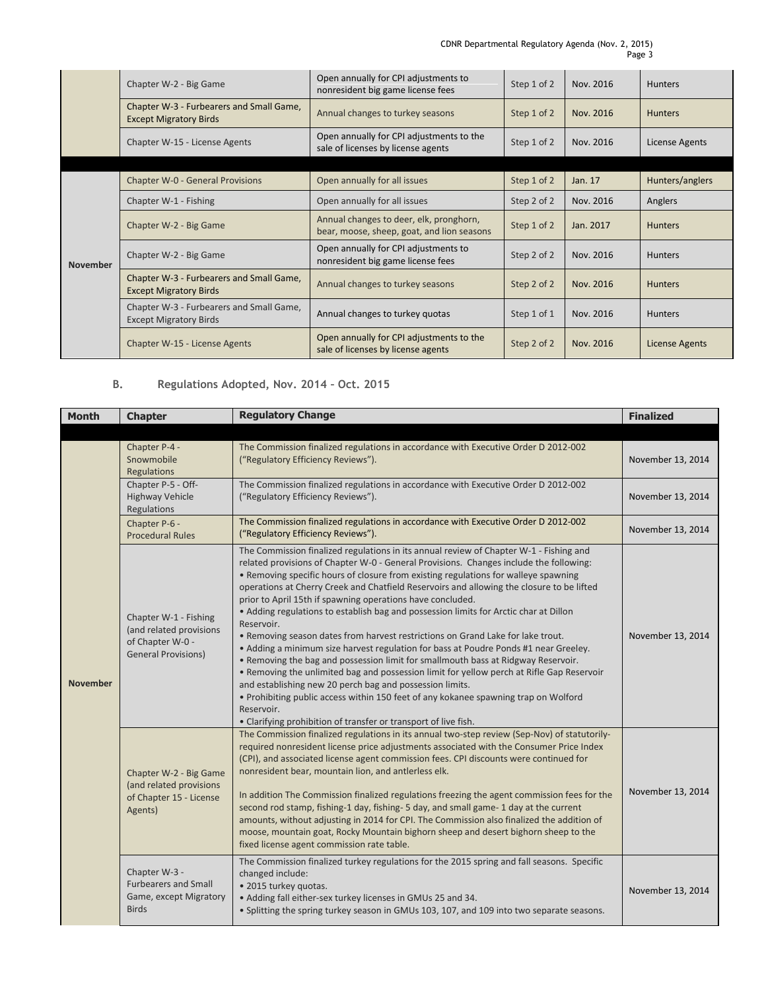CDNR Departmental Regulatory Agenda (Nov. 2, 2015) Page 3

|                 | Chapter W-2 - Big Game                                                    | Open annually for CPI adjustments to<br>nonresident big game license fees             | Step 1 of 2 | Nov. 2016 | <b>Hunters</b>  |
|-----------------|---------------------------------------------------------------------------|---------------------------------------------------------------------------------------|-------------|-----------|-----------------|
|                 | Chapter W-3 - Furbearers and Small Game,<br><b>Except Migratory Birds</b> | Annual changes to turkey seasons                                                      | Step 1 of 2 | Nov. 2016 | <b>Hunters</b>  |
|                 | Chapter W-15 - License Agents                                             | Open annually for CPI adjustments to the<br>sale of licenses by license agents        | Step 1 of 2 | Nov. 2016 | License Agents  |
|                 |                                                                           |                                                                                       |             |           |                 |
|                 | <b>Chapter W-0 - General Provisions</b>                                   | Open annually for all issues                                                          | Step 1 of 2 | Jan. 17   | Hunters/anglers |
| <b>November</b> | Chapter W-1 - Fishing                                                     | Open annually for all issues                                                          | Step 2 of 2 | Nov. 2016 | Anglers         |
|                 | Chapter W-2 - Big Game                                                    | Annual changes to deer, elk, pronghorn,<br>bear, moose, sheep, goat, and lion seasons | Step 1 of 2 | Jan. 2017 | <b>Hunters</b>  |
|                 | Chapter W-2 - Big Game                                                    | Open annually for CPI adjustments to<br>nonresident big game license fees             | Step 2 of 2 | Nov. 2016 | <b>Hunters</b>  |
|                 | Chapter W-3 - Furbearers and Small Game,<br><b>Except Migratory Birds</b> | Annual changes to turkey seasons                                                      | Step 2 of 2 | Nov. 2016 | <b>Hunters</b>  |
|                 | Chapter W-3 - Furbearers and Small Game,<br><b>Except Migratory Birds</b> | Annual changes to turkey quotas                                                       | Step 1 of 1 | Nov. 2016 | <b>Hunters</b>  |
|                 | Chapter W-15 - License Agents                                             | Open annually for CPI adjustments to the<br>sale of licenses by license agents        | Step 2 of 2 | Nov. 2016 | License Agents  |

# **B. Regulations Adopted, Nov. 2014 – Oct. 2015**

| <b>Month</b>    | <b>Chapter</b>                                                                                     | <b>Regulatory Change</b>                                                                                                                                                                                                                                                                                                                                                                                                                                                                                                                                                                                                                                                                                                                                                                                                                                                                                                                                                                                                                                                                                                                   | <b>Finalized</b>  |
|-----------------|----------------------------------------------------------------------------------------------------|--------------------------------------------------------------------------------------------------------------------------------------------------------------------------------------------------------------------------------------------------------------------------------------------------------------------------------------------------------------------------------------------------------------------------------------------------------------------------------------------------------------------------------------------------------------------------------------------------------------------------------------------------------------------------------------------------------------------------------------------------------------------------------------------------------------------------------------------------------------------------------------------------------------------------------------------------------------------------------------------------------------------------------------------------------------------------------------------------------------------------------------------|-------------------|
|                 |                                                                                                    |                                                                                                                                                                                                                                                                                                                                                                                                                                                                                                                                                                                                                                                                                                                                                                                                                                                                                                                                                                                                                                                                                                                                            |                   |
|                 | Chapter P-4 -<br>Snowmobile<br>Regulations                                                         | The Commission finalized regulations in accordance with Executive Order D 2012-002<br>("Regulatory Efficiency Reviews").                                                                                                                                                                                                                                                                                                                                                                                                                                                                                                                                                                                                                                                                                                                                                                                                                                                                                                                                                                                                                   | November 13, 2014 |
|                 | Chapter P-5 - Off-<br><b>Highway Vehicle</b><br>Regulations                                        | The Commission finalized regulations in accordance with Executive Order D 2012-002<br>("Regulatory Efficiency Reviews").                                                                                                                                                                                                                                                                                                                                                                                                                                                                                                                                                                                                                                                                                                                                                                                                                                                                                                                                                                                                                   | November 13, 2014 |
|                 | Chapter P-6 -<br><b>Procedural Rules</b>                                                           | The Commission finalized regulations in accordance with Executive Order D 2012-002<br>("Regulatory Efficiency Reviews").                                                                                                                                                                                                                                                                                                                                                                                                                                                                                                                                                                                                                                                                                                                                                                                                                                                                                                                                                                                                                   | November 13, 2014 |
| <b>November</b> | Chapter W-1 - Fishing<br>(and related provisions<br>of Chapter W-0 -<br><b>General Provisions)</b> | The Commission finalized regulations in its annual review of Chapter W-1 - Fishing and<br>related provisions of Chapter W-0 - General Provisions. Changes include the following:<br>• Removing specific hours of closure from existing regulations for walleye spawning<br>operations at Cherry Creek and Chatfield Reservoirs and allowing the closure to be lifted<br>prior to April 15th if spawning operations have concluded.<br>• Adding regulations to establish bag and possession limits for Arctic char at Dillon<br>Reservoir.<br>. Removing season dates from harvest restrictions on Grand Lake for lake trout.<br>• Adding a minimum size harvest regulation for bass at Poudre Ponds #1 near Greeley.<br>. Removing the bag and possession limit for smallmouth bass at Ridgway Reservoir.<br>. Removing the unlimited bag and possession limit for yellow perch at Rifle Gap Reservoir<br>and establishing new 20 perch bag and possession limits.<br>• Prohibiting public access within 150 feet of any kokanee spawning trap on Wolford<br>Reservoir.<br>• Clarifying prohibition of transfer or transport of live fish. | November 13, 2014 |
|                 | Chapter W-2 - Big Game<br>(and related provisions<br>of Chapter 15 - License<br>Agents)            | The Commission finalized regulations in its annual two-step review (Sep-Nov) of statutorily-<br>required nonresident license price adjustments associated with the Consumer Price Index<br>(CPI), and associated license agent commission fees. CPI discounts were continued for<br>nonresident bear, mountain lion, and antierless elk.<br>In addition The Commission finalized regulations freezing the agent commission fees for the<br>second rod stamp, fishing-1 day, fishing-5 day, and small game-1 day at the current<br>amounts, without adjusting in 2014 for CPI. The Commission also finalized the addition of<br>moose, mountain goat, Rocky Mountain bighorn sheep and desert bighorn sheep to the<br>fixed license agent commission rate table.                                                                                                                                                                                                                                                                                                                                                                            | November 13, 2014 |
|                 | Chapter W-3 -<br><b>Furbearers and Small</b><br>Game, except Migratory<br><b>Birds</b>             | The Commission finalized turkey regulations for the 2015 spring and fall seasons. Specific<br>changed include:<br>· 2015 turkey quotas.<br>• Adding fall either-sex turkey licenses in GMUs 25 and 34.<br>. Splitting the spring turkey season in GMUs 103, 107, and 109 into two separate seasons.                                                                                                                                                                                                                                                                                                                                                                                                                                                                                                                                                                                                                                                                                                                                                                                                                                        | November 13, 2014 |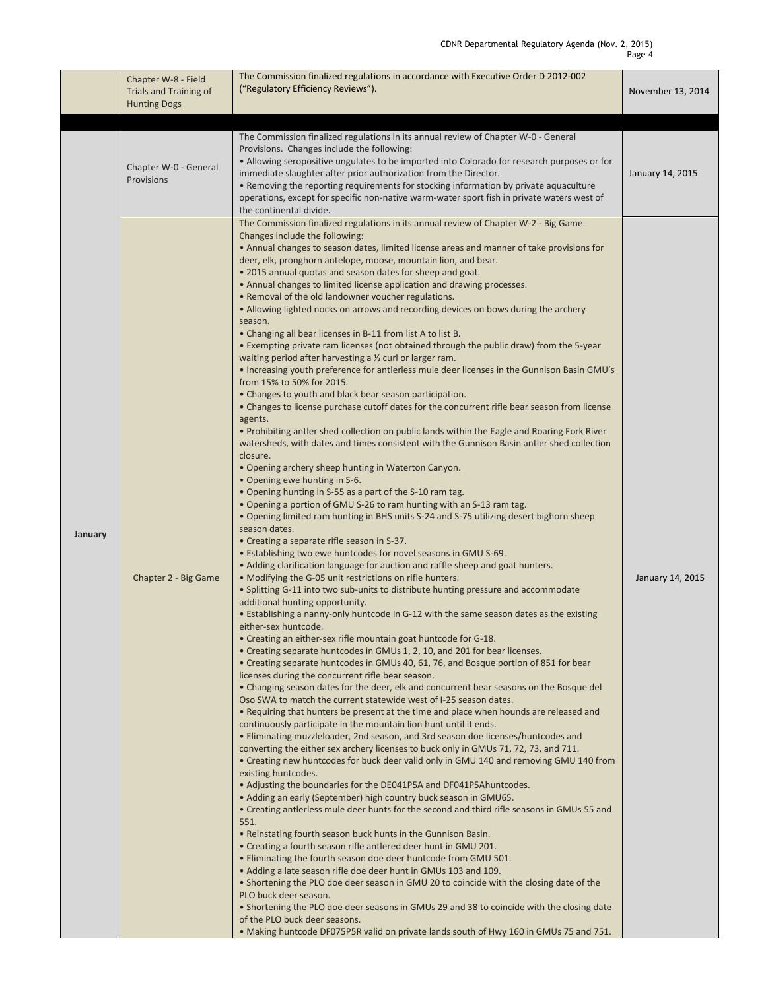|         | Chapter W-8 - Field<br>Trials and Training of<br><b>Hunting Dogs</b> | The Commission finalized regulations in accordance with Executive Order D 2012-002<br>("Regulatory Efficiency Reviews").                                                                                                                                                                                                                                                                                                                                                                                                                                                                                                                                                                                                                                                                                                                                                                                                                                                                                                                                                                                                                                                                                                                                                                                                                                                                                                                                                                                                                                                                                                                                                                                                                                                                                                                                                                                                                                                                                                                                                                                                                                                                                                                                                                                                                                                                                                                                                                                                                                                                                                                                                                                                                                                                                                                                                                                                                                                                                                                                                                                                                                                                                                                                                                                                                                                                                                                                                                                                                                                                                                                                                                                                                                                                                                                                                                                                                                                                 | November 13, 2014 |
|---------|----------------------------------------------------------------------|------------------------------------------------------------------------------------------------------------------------------------------------------------------------------------------------------------------------------------------------------------------------------------------------------------------------------------------------------------------------------------------------------------------------------------------------------------------------------------------------------------------------------------------------------------------------------------------------------------------------------------------------------------------------------------------------------------------------------------------------------------------------------------------------------------------------------------------------------------------------------------------------------------------------------------------------------------------------------------------------------------------------------------------------------------------------------------------------------------------------------------------------------------------------------------------------------------------------------------------------------------------------------------------------------------------------------------------------------------------------------------------------------------------------------------------------------------------------------------------------------------------------------------------------------------------------------------------------------------------------------------------------------------------------------------------------------------------------------------------------------------------------------------------------------------------------------------------------------------------------------------------------------------------------------------------------------------------------------------------------------------------------------------------------------------------------------------------------------------------------------------------------------------------------------------------------------------------------------------------------------------------------------------------------------------------------------------------------------------------------------------------------------------------------------------------------------------------------------------------------------------------------------------------------------------------------------------------------------------------------------------------------------------------------------------------------------------------------------------------------------------------------------------------------------------------------------------------------------------------------------------------------------------------------------------------------------------------------------------------------------------------------------------------------------------------------------------------------------------------------------------------------------------------------------------------------------------------------------------------------------------------------------------------------------------------------------------------------------------------------------------------------------------------------------------------------------------------------------------------------------------------------------------------------------------------------------------------------------------------------------------------------------------------------------------------------------------------------------------------------------------------------------------------------------------------------------------------------------------------------------------------------------------------------------------------------------------------------------------------|-------------------|
|         |                                                                      |                                                                                                                                                                                                                                                                                                                                                                                                                                                                                                                                                                                                                                                                                                                                                                                                                                                                                                                                                                                                                                                                                                                                                                                                                                                                                                                                                                                                                                                                                                                                                                                                                                                                                                                                                                                                                                                                                                                                                                                                                                                                                                                                                                                                                                                                                                                                                                                                                                                                                                                                                                                                                                                                                                                                                                                                                                                                                                                                                                                                                                                                                                                                                                                                                                                                                                                                                                                                                                                                                                                                                                                                                                                                                                                                                                                                                                                                                                                                                                                          |                   |
|         | Chapter W-0 - General<br>Provisions                                  | The Commission finalized regulations in its annual review of Chapter W-0 - General<br>Provisions. Changes include the following:<br>• Allowing seropositive ungulates to be imported into Colorado for research purposes or for<br>immediate slaughter after prior authorization from the Director.<br>• Removing the reporting requirements for stocking information by private aquaculture<br>operations, except for specific non-native warm-water sport fish in private waters west of<br>the continental divide.                                                                                                                                                                                                                                                                                                                                                                                                                                                                                                                                                                                                                                                                                                                                                                                                                                                                                                                                                                                                                                                                                                                                                                                                                                                                                                                                                                                                                                                                                                                                                                                                                                                                                                                                                                                                                                                                                                                                                                                                                                                                                                                                                                                                                                                                                                                                                                                                                                                                                                                                                                                                                                                                                                                                                                                                                                                                                                                                                                                                                                                                                                                                                                                                                                                                                                                                                                                                                                                                    | January 14, 2015  |
| January | Chapter 2 - Big Game                                                 | The Commission finalized regulations in its annual review of Chapter W-2 - Big Game.<br>Changes include the following:<br>• Annual changes to season dates, limited license areas and manner of take provisions for<br>deer, elk, pronghorn antelope, moose, mountain lion, and bear.<br>. 2015 annual quotas and season dates for sheep and goat.<br>• Annual changes to limited license application and drawing processes.<br>• Removal of the old landowner voucher regulations.<br>• Allowing lighted nocks on arrows and recording devices on bows during the archery<br>season.<br>• Changing all bear licenses in B-11 from list A to list B.<br>• Exempting private ram licenses (not obtained through the public draw) from the 5-year<br>waiting period after harvesting a $\frac{1}{2}$ curl or larger ram.<br>. Increasing youth preference for antlerless mule deer licenses in the Gunnison Basin GMU's<br>from 15% to 50% for 2015.<br>• Changes to youth and black bear season participation.<br>• Changes to license purchase cutoff dates for the concurrent rifle bear season from license<br>agents.<br>• Prohibiting antler shed collection on public lands within the Eagle and Roaring Fork River<br>watersheds, with dates and times consistent with the Gunnison Basin antler shed collection<br>closure.<br>• Opening archery sheep hunting in Waterton Canyon.<br>• Opening ewe hunting in S-6.<br>• Opening hunting in S-55 as a part of the S-10 ram tag.<br>. Opening a portion of GMU S-26 to ram hunting with an S-13 ram tag.<br>• Opening limited ram hunting in BHS units S-24 and S-75 utilizing desert bighorn sheep<br>season dates.<br>• Creating a separate rifle season in S-37.<br>• Establishing two ewe huntcodes for novel seasons in GMU S-69.<br>• Adding clarification language for auction and raffle sheep and goat hunters.<br>• Modifying the G-05 unit restrictions on rifle hunters.<br>• Splitting G-11 into two sub-units to distribute hunting pressure and accommodate<br>additional hunting opportunity.<br>• Establishing a nanny-only huntcode in G-12 with the same season dates as the existing<br>either-sex huntcode.<br>• Creating an either-sex rifle mountain goat huntcode for G-18.<br>• Creating separate huntcodes in GMUs 1, 2, 10, and 201 for bear licenses.<br>• Creating separate huntcodes in GMUs 40, 61, 76, and Bosque portion of 851 for bear<br>licenses during the concurrent rifle bear season.<br>• Changing season dates for the deer, elk and concurrent bear seasons on the Bosque del<br>Oso SWA to match the current statewide west of I-25 season dates.<br>• Requiring that hunters be present at the time and place when hounds are released and<br>continuously participate in the mountain lion hunt until it ends.<br>• Eliminating muzzleloader, 2nd season, and 3rd season doe licenses/huntcodes and<br>converting the either sex archery licenses to buck only in GMUs 71, 72, 73, and 711.<br>• Creating new huntcodes for buck deer valid only in GMU 140 and removing GMU 140 from<br>existing huntcodes.<br>• Adjusting the boundaries for the DE041P5A and DF041P5Ahuntcodes.<br>• Adding an early (September) high country buck season in GMU65.<br>• Creating antlerless mule deer hunts for the second and third rifle seasons in GMUs 55 and<br>551.<br>• Reinstating fourth season buck hunts in the Gunnison Basin.<br>• Creating a fourth season rifle antlered deer hunt in GMU 201.<br>• Eliminating the fourth season doe deer huntcode from GMU 501.<br>• Adding a late season rifle doe deer hunt in GMUs 103 and 109.<br>• Shortening the PLO doe deer season in GMU 20 to coincide with the closing date of the<br>PLO buck deer season.<br>• Shortening the PLO doe deer seasons in GMUs 29 and 38 to coincide with the closing date<br>of the PLO buck deer seasons.<br>. Making huntcode DF075P5R valid on private lands south of Hwy 160 in GMUs 75 and 751. | January 14, 2015  |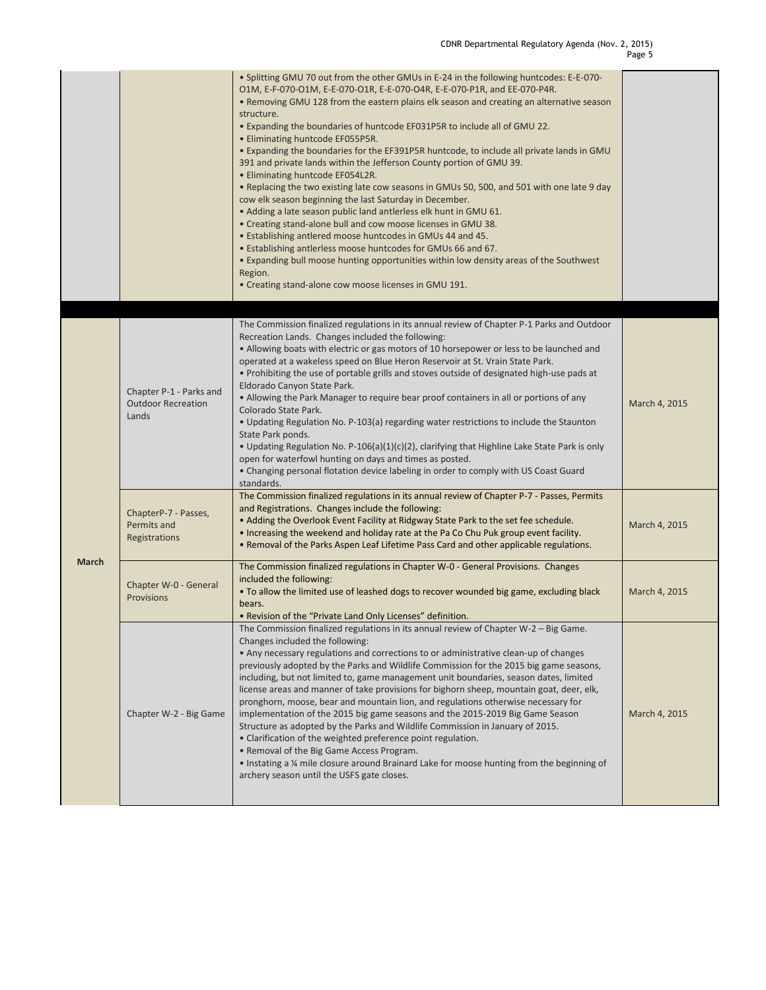|              |                                                               | . Splitting GMU 70 out from the other GMUs in E-24 in the following huntcodes: E-E-070-<br>O1M, E-F-070-O1M, E-E-070-O1R, E-E-070-O4R, E-E-070-P1R, and EE-070-P4R.<br>• Removing GMU 128 from the eastern plains elk season and creating an alternative season<br>structure.<br>• Expanding the boundaries of huntcode EF031P5R to include all of GMU 22.<br>• Eliminating huntcode EF055P5R.<br>. Expanding the boundaries for the EF391P5R huntcode, to include all private lands in GMU<br>391 and private lands within the Jefferson County portion of GMU 39.<br>• Eliminating huntcode EF054L2R.<br>. Replacing the two existing late cow seasons in GMUs 50, 500, and 501 with one late 9 day<br>cow elk season beginning the last Saturday in December.<br>• Adding a late season public land antierless elk hunt in GMU 61.<br>• Creating stand-alone bull and cow moose licenses in GMU 38.<br>• Establishing antlered moose huntcodes in GMUs 44 and 45.<br>. Establishing antlerless moose huntcodes for GMUs 66 and 67.<br>• Expanding bull moose hunting opportunities within low density areas of the Southwest<br>Region.<br>• Creating stand-alone cow moose licenses in GMU 191. |               |
|--------------|---------------------------------------------------------------|-----------------------------------------------------------------------------------------------------------------------------------------------------------------------------------------------------------------------------------------------------------------------------------------------------------------------------------------------------------------------------------------------------------------------------------------------------------------------------------------------------------------------------------------------------------------------------------------------------------------------------------------------------------------------------------------------------------------------------------------------------------------------------------------------------------------------------------------------------------------------------------------------------------------------------------------------------------------------------------------------------------------------------------------------------------------------------------------------------------------------------------------------------------------------------------------------------|---------------|
|              | Chapter P-1 - Parks and<br><b>Outdoor Recreation</b><br>Lands | The Commission finalized regulations in its annual review of Chapter P-1 Parks and Outdoor<br>Recreation Lands. Changes included the following:<br>. Allowing boats with electric or gas motors of 10 horsepower or less to be launched and<br>operated at a wakeless speed on Blue Heron Reservoir at St. Vrain State Park.<br>• Prohibiting the use of portable grills and stoves outside of designated high-use pads at<br>Eldorado Canyon State Park.<br>• Allowing the Park Manager to require bear proof containers in all or portions of any<br>Colorado State Park.<br>• Updating Regulation No. P-103(a) regarding water restrictions to include the Staunton<br>State Park ponds.<br>• Updating Regulation No. P-106(a)(1)(c)(2), clarifying that Highline Lake State Park is only<br>open for waterfowl hunting on days and times as posted.<br>• Changing personal flotation device labeling in order to comply with US Coast Guard<br>standards.                                                                                                                                                                                                                                       | March 4, 2015 |
| <b>March</b> | ChapterP-7 - Passes,<br>Permits and<br>Registrations          | The Commission finalized regulations in its annual review of Chapter P-7 - Passes, Permits<br>and Registrations. Changes include the following:<br>. Adding the Overlook Event Facility at Ridgway State Park to the set fee schedule.<br>. Increasing the weekend and holiday rate at the Pa Co Chu Puk group event facility.<br>. Removal of the Parks Aspen Leaf Lifetime Pass Card and other applicable regulations.                                                                                                                                                                                                                                                                                                                                                                                                                                                                                                                                                                                                                                                                                                                                                                            | March 4, 2015 |
|              | Chapter W-0 - General<br>Provisions                           | The Commission finalized regulations in Chapter W-0 - General Provisions. Changes<br>included the following:<br>. To allow the limited use of leashed dogs to recover wounded big game, excluding black<br>bears.<br>. Revision of the "Private Land Only Licenses" definition.                                                                                                                                                                                                                                                                                                                                                                                                                                                                                                                                                                                                                                                                                                                                                                                                                                                                                                                     | March 4, 2015 |
|              | Chapter W-2 - Big Game                                        | The Commission finalized regulations in its annual review of Chapter W-2 - Big Game.<br>Changes included the following:<br>• Any necessary regulations and corrections to or administrative clean-up of changes<br>previously adopted by the Parks and Wildlife Commission for the 2015 big game seasons,<br>including, but not limited to, game management unit boundaries, season dates, limited<br>license areas and manner of take provisions for bighorn sheep, mountain goat, deer, elk,<br>pronghorn, moose, bear and mountain lion, and regulations otherwise necessary for<br>implementation of the 2015 big game seasons and the 2015-2019 Big Game Season<br>Structure as adopted by the Parks and Wildlife Commission in January of 2015.<br>• Clarification of the weighted preference point regulation.<br>• Removal of the Big Game Access Program.<br>• Instating a ¼ mile closure around Brainard Lake for moose hunting from the beginning of<br>archery season until the USFS gate closes.                                                                                                                                                                                       | March 4, 2015 |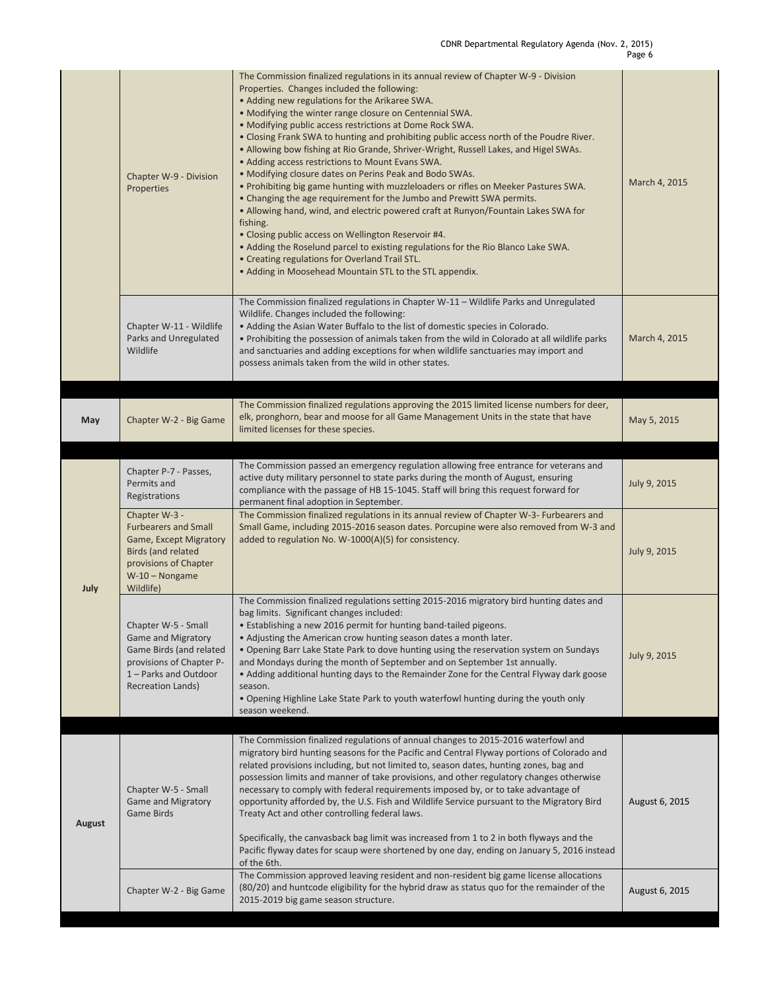|        | Chapter W-9 - Division<br>Properties                                                                                                                   | The Commission finalized regulations in its annual review of Chapter W-9 - Division<br>Properties. Changes included the following:<br>• Adding new regulations for the Arikaree SWA.<br>. Modifying the winter range closure on Centennial SWA.<br>• Modifying public access restrictions at Dome Rock SWA.<br>. Closing Frank SWA to hunting and prohibiting public access north of the Poudre River.<br>• Allowing bow fishing at Rio Grande, Shriver-Wright, Russell Lakes, and Higel SWAs.<br>• Adding access restrictions to Mount Evans SWA.<br>• Modifying closure dates on Perins Peak and Bodo SWAs.<br>. Prohibiting big game hunting with muzzleloaders or rifles on Meeker Pastures SWA.<br>• Changing the age requirement for the Jumbo and Prewitt SWA permits.<br>. Allowing hand, wind, and electric powered craft at Runyon/Fountain Lakes SWA for<br>fishing.<br>• Closing public access on Wellington Reservoir #4.<br>• Adding the Roselund parcel to existing regulations for the Rio Blanco Lake SWA.<br>• Creating regulations for Overland Trail STL.<br>• Adding in Moosehead Mountain STL to the STL appendix. | March 4, 2015  |
|--------|--------------------------------------------------------------------------------------------------------------------------------------------------------|------------------------------------------------------------------------------------------------------------------------------------------------------------------------------------------------------------------------------------------------------------------------------------------------------------------------------------------------------------------------------------------------------------------------------------------------------------------------------------------------------------------------------------------------------------------------------------------------------------------------------------------------------------------------------------------------------------------------------------------------------------------------------------------------------------------------------------------------------------------------------------------------------------------------------------------------------------------------------------------------------------------------------------------------------------------------------------------------------------------------------------------|----------------|
|        | Chapter W-11 - Wildlife<br>Parks and Unregulated<br>Wildlife                                                                                           | The Commission finalized regulations in Chapter W-11 - Wildlife Parks and Unregulated<br>Wildlife. Changes included the following:<br>• Adding the Asian Water Buffalo to the list of domestic species in Colorado.<br>. Prohibiting the possession of animals taken from the wild in Colorado at all wildlife parks<br>and sanctuaries and adding exceptions for when wildlife sanctuaries may import and<br>possess animals taken from the wild in other states.                                                                                                                                                                                                                                                                                                                                                                                                                                                                                                                                                                                                                                                                       | March 4, 2015  |
|        |                                                                                                                                                        |                                                                                                                                                                                                                                                                                                                                                                                                                                                                                                                                                                                                                                                                                                                                                                                                                                                                                                                                                                                                                                                                                                                                          |                |
| May    | Chapter W-2 - Big Game                                                                                                                                 | The Commission finalized regulations approving the 2015 limited license numbers for deer,<br>elk, pronghorn, bear and moose for all Game Management Units in the state that have<br>limited licenses for these species.                                                                                                                                                                                                                                                                                                                                                                                                                                                                                                                                                                                                                                                                                                                                                                                                                                                                                                                  | May 5, 2015    |
| July   | Chapter P-7 - Passes,<br>Permits and<br>Registrations                                                                                                  | The Commission passed an emergency regulation allowing free entrance for veterans and<br>active duty military personnel to state parks during the month of August, ensuring<br>compliance with the passage of HB 15-1045. Staff will bring this request forward for<br>permanent final adoption in September.                                                                                                                                                                                                                                                                                                                                                                                                                                                                                                                                                                                                                                                                                                                                                                                                                            | July 9, 2015   |
|        | Chapter W-3 -<br><b>Furbearers and Small</b><br>Game, Except Migratory<br>Birds (and related<br>provisions of Chapter<br>$W-10 - Nongame$<br>Wildlife) | The Commission finalized regulations in its annual review of Chapter W-3- Furbearers and<br>Small Game, including 2015-2016 season dates. Porcupine were also removed from W-3 and<br>added to regulation No. W-1000(A)(5) for consistency.                                                                                                                                                                                                                                                                                                                                                                                                                                                                                                                                                                                                                                                                                                                                                                                                                                                                                              | July 9, 2015   |
|        | Chapter W-5 - Small<br><b>Game and Migratory</b><br>Game Birds (and related<br>provisions of Chapter P-<br>1 - Parks and Outdoor<br>Recreation Lands)  | The Commission finalized regulations setting 2015-2016 migratory bird hunting dates and<br>bag limits. Significant changes included:<br>. Establishing a new 2016 permit for hunting band-tailed pigeons.<br>• Adjusting the American crow hunting season dates a month later.<br>. Opening Barr Lake State Park to dove hunting using the reservation system on Sundays<br>and Mondays during the month of September and on September 1st annually.<br>• Adding additional hunting days to the Remainder Zone for the Central Flyway dark goose<br>season.<br>• Opening Highline Lake State Park to youth waterfowl hunting during the youth only<br>season weekend.                                                                                                                                                                                                                                                                                                                                                                                                                                                                    | July 9, 2015   |
| August | Chapter W-5 - Small<br><b>Game and Migratory</b><br><b>Game Birds</b>                                                                                  | The Commission finalized regulations of annual changes to 2015-2016 waterfowl and<br>migratory bird hunting seasons for the Pacific and Central Flyway portions of Colorado and<br>related provisions including, but not limited to, season dates, hunting zones, bag and<br>possession limits and manner of take provisions, and other regulatory changes otherwise<br>necessary to comply with federal requirements imposed by, or to take advantage of<br>opportunity afforded by, the U.S. Fish and Wildlife Service pursuant to the Migratory Bird<br>Treaty Act and other controlling federal laws.<br>Specifically, the canvasback bag limit was increased from 1 to 2 in both flyways and the<br>Pacific flyway dates for scaup were shortened by one day, ending on January 5, 2016 instead<br>of the 6th.                                                                                                                                                                                                                                                                                                                      | August 6, 2015 |
|        | Chapter W-2 - Big Game                                                                                                                                 | The Commission approved leaving resident and non-resident big game license allocations<br>(80/20) and huntcode eligibility for the hybrid draw as status quo for the remainder of the<br>2015-2019 big game season structure.                                                                                                                                                                                                                                                                                                                                                                                                                                                                                                                                                                                                                                                                                                                                                                                                                                                                                                            | August 6, 2015 |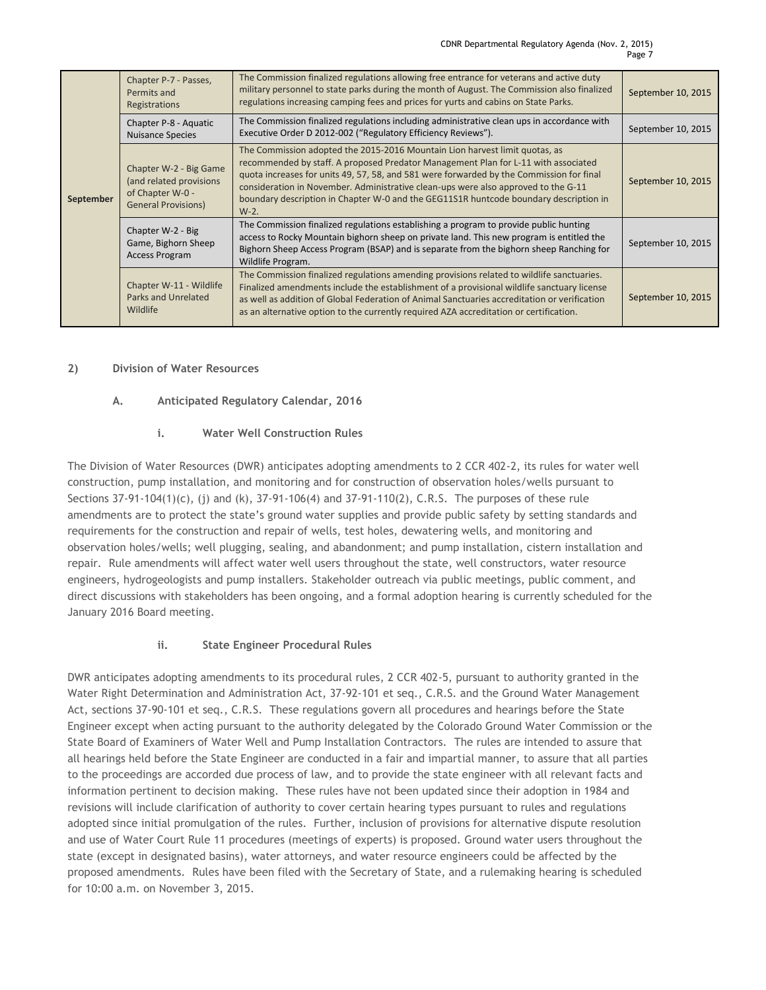| September | Chapter P-7 - Passes,<br>Permits and<br>Registrations                                                | The Commission finalized regulations allowing free entrance for veterans and active duty<br>military personnel to state parks during the month of August. The Commission also finalized<br>regulations increasing camping fees and prices for yurts and cabins on State Parks.                                                                                                                                                                          | September 10, 2015 |
|-----------|------------------------------------------------------------------------------------------------------|---------------------------------------------------------------------------------------------------------------------------------------------------------------------------------------------------------------------------------------------------------------------------------------------------------------------------------------------------------------------------------------------------------------------------------------------------------|--------------------|
|           | Chapter P-8 - Aquatic<br><b>Nuisance Species</b>                                                     | The Commission finalized regulations including administrative clean ups in accordance with<br>Executive Order D 2012-002 ("Regulatory Efficiency Reviews").                                                                                                                                                                                                                                                                                             | September 10, 2015 |
|           | Chapter W-2 - Big Game<br>(and related provisions)<br>of Chapter W-0 -<br><b>General Provisions)</b> | The Commission adopted the 2015-2016 Mountain Lion harvest limit quotas, as<br>recommended by staff. A proposed Predator Management Plan for L-11 with associated<br>quota increases for units 49, 57, 58, and 581 were forwarded by the Commission for final<br>consideration in November. Administrative clean-ups were also approved to the G-11<br>boundary description in Chapter W-0 and the GEG11S1R huntcode boundary description in<br>$W-2$ . | September 10, 2015 |
|           | Chapter W-2 - Big<br>Game, Bighorn Sheep<br>Access Program                                           | The Commission finalized regulations establishing a program to provide public hunting<br>access to Rocky Mountain bighorn sheep on private land. This new program is entitled the<br>Bighorn Sheep Access Program (BSAP) and is separate from the bighorn sheep Ranching for<br>Wildlife Program.                                                                                                                                                       | September 10, 2015 |
|           | Chapter W-11 - Wildlife<br><b>Parks and Unrelated</b><br>Wildlife                                    | The Commission finalized regulations amending provisions related to wildlife sanctuaries.<br>Finalized amendments include the establishment of a provisional wildlife sanctuary license<br>as well as addition of Global Federation of Animal Sanctuaries accreditation or verification<br>as an alternative option to the currently required AZA accreditation or certification.                                                                       | September 10, 2015 |

#### **2) Division of Water Resources**

#### **A. Anticipated Regulatory Calendar, 2016**

#### **i. Water Well Construction Rules**

The Division of Water Resources (DWR) anticipates adopting amendments to 2 CCR 402-2, its rules for water well construction, pump installation, and monitoring and for construction of observation holes/wells pursuant to Sections 37-91-104(1)(c), (j) and (k), 37-91-106(4) and 37-91-110(2), C.R.S. The purposes of these rule amendments are to protect the state's ground water supplies and provide public safety by setting standards and requirements for the construction and repair of wells, test holes, dewatering wells, and monitoring and observation holes/wells; well plugging, sealing, and abandonment; and pump installation, cistern installation and repair. Rule amendments will affect water well users throughout the state, well constructors, water resource engineers, hydrogeologists and pump installers. Stakeholder outreach via public meetings, public comment, and direct discussions with stakeholders has been ongoing, and a formal adoption hearing is currently scheduled for the January 2016 Board meeting.

#### **ii. State Engineer Procedural Rules**

DWR anticipates adopting amendments to its procedural rules, 2 CCR 402-5, pursuant to authority granted in the Water Right Determination and Administration Act, 37-92-101 et seq., C.R.S. and the Ground Water Management Act, sections 37-90-101 et seq., C.R.S. These regulations govern all procedures and hearings before the State Engineer except when acting pursuant to the authority delegated by the Colorado Ground Water Commission or the State Board of Examiners of Water Well and Pump Installation Contractors. The rules are intended to assure that all hearings held before the State Engineer are conducted in a fair and impartial manner, to assure that all parties to the proceedings are accorded due process of law, and to provide the state engineer with all relevant facts and information pertinent to decision making. These rules have not been updated since their adoption in 1984 and revisions will include clarification of authority to cover certain hearing types pursuant to rules and regulations adopted since initial promulgation of the rules. Further, inclusion of provisions for alternative dispute resolution and use of Water Court Rule 11 procedures (meetings of experts) is proposed. Ground water users throughout the state (except in designated basins), water attorneys, and water resource engineers could be affected by the proposed amendments. Rules have been filed with the Secretary of State, and a rulemaking hearing is scheduled for 10:00 a.m. on November 3, 2015.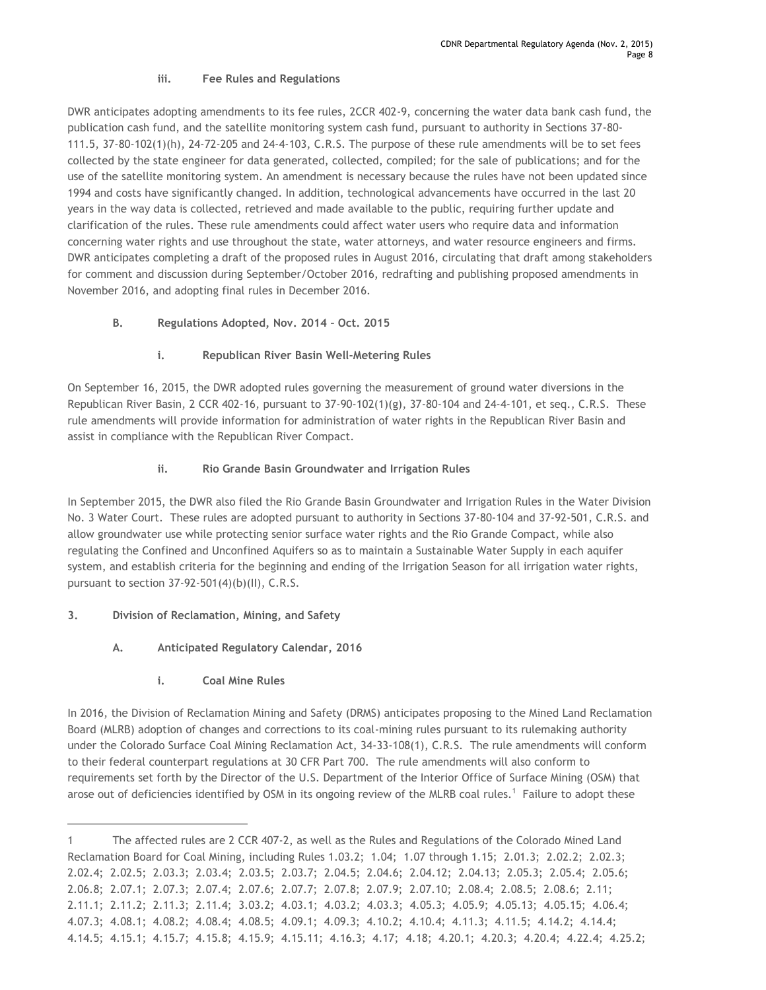#### **iii. Fee Rules and Regulations**

DWR anticipates adopting amendments to its fee rules, 2CCR 402-9, concerning the water data bank cash fund, the publication cash fund, and the satellite monitoring system cash fund, pursuant to authority in Sections 37-80- 111.5, 37-80-102(1)(h), 24-72-205 and 24-4-103, C.R.S. The purpose of these rule amendments will be to set fees collected by the state engineer for data generated, collected, compiled; for the sale of publications; and for the use of the satellite monitoring system. An amendment is necessary because the rules have not been updated since 1994 and costs have significantly changed. In addition, technological advancements have occurred in the last 20 years in the way data is collected, retrieved and made available to the public, requiring further update and clarification of the rules. These rule amendments could affect water users who require data and information concerning water rights and use throughout the state, water attorneys, and water resource engineers and firms. DWR anticipates completing a draft of the proposed rules in August 2016, circulating that draft among stakeholders for comment and discussion during September/October 2016, redrafting and publishing proposed amendments in November 2016, and adopting final rules in December 2016.

# **B. Regulations Adopted, Nov. 2014 – Oct. 2015**

# **i. Republican River Basin Well-Metering Rules**

On September 16, 2015, the DWR adopted rules governing the measurement of ground water diversions in the Republican River Basin, 2 CCR 402-16, pursuant to 37-90-102(1)(g), 37-80-104 and 24-4-101, et seq., C.R.S. These rule amendments will provide information for administration of water rights in the Republican River Basin and assist in compliance with the Republican River Compact.

# **ii. Rio Grande Basin Groundwater and Irrigation Rules**

In September 2015, the DWR also filed the Rio Grande Basin Groundwater and Irrigation Rules in the Water Division No. 3 Water Court. These rules are adopted pursuant to authority in Sections 37-80-104 and 37-92-501, C.R.S. and allow groundwater use while protecting senior surface water rights and the Rio Grande Compact, while also regulating the Confined and Unconfined Aquifers so as to maintain a Sustainable Water Supply in each aquifer system, and establish criteria for the beginning and ending of the Irrigation Season for all irrigation water rights, pursuant to section 37-92-501(4)(b)(II), C.R.S.

# **3. Division of Reclamation, Mining, and Safety**

 $\overline{a}$ 

- **A. Anticipated Regulatory Calendar, 2016**
	- **i. Coal Mine Rules**

In 2016, the Division of Reclamation Mining and Safety (DRMS) anticipates proposing to the Mined Land Reclamation Board (MLRB) adoption of changes and corrections to its coal-mining rules pursuant to its rulemaking authority under the Colorado Surface Coal Mining Reclamation Act, 34-33-108(1), C.R.S. The rule amendments will conform to their federal counterpart regulations at 30 CFR Part 700. The rule amendments will also conform to requirements set forth by the Director of the U.S. Department of the Interior Office of Surface Mining (OSM) that arose out of deficiencies identified by OSM in its ongoing review of the MLRB coal rules.<sup>1</sup> Failure to adopt these

<sup>1</sup> The affected rules are 2 CCR 407-2, as well as the Rules and Regulations of the Colorado Mined Land Reclamation Board for Coal Mining, including Rules 1.03.2; 1.04; 1.07 through 1.15; 2.01.3; 2.02.2; 2.02.3; 2.02.4; 2.02.5; 2.03.3; 2.03.4; 2.03.5; 2.03.7; 2.04.5; 2.04.6; 2.04.12; 2.04.13; 2.05.3; 2.05.4; 2.05.6; 2.06.8; 2.07.1; 2.07.3; 2.07.4; 2.07.6; 2.07.7; 2.07.8; 2.07.9; 2.07.10; 2.08.4; 2.08.5; 2.08.6; 2.11; 2.11.1; 2.11.2; 2.11.3; 2.11.4; 3.03.2; 4.03.1; 4.03.2; 4.03.3; 4.05.3; 4.05.9; 4.05.13; 4.05.15; 4.06.4; 4.07.3; 4.08.1; 4.08.2; 4.08.4; 4.08.5; 4.09.1; 4.09.3; 4.10.2; 4.10.4; 4.11.3; 4.11.5; 4.14.2; 4.14.4; 4.14.5; 4.15.1; 4.15.7; 4.15.8; 4.15.9; 4.15.11; 4.16.3; 4.17; 4.18; 4.20.1; 4.20.3; 4.20.4; 4.22.4; 4.25.2;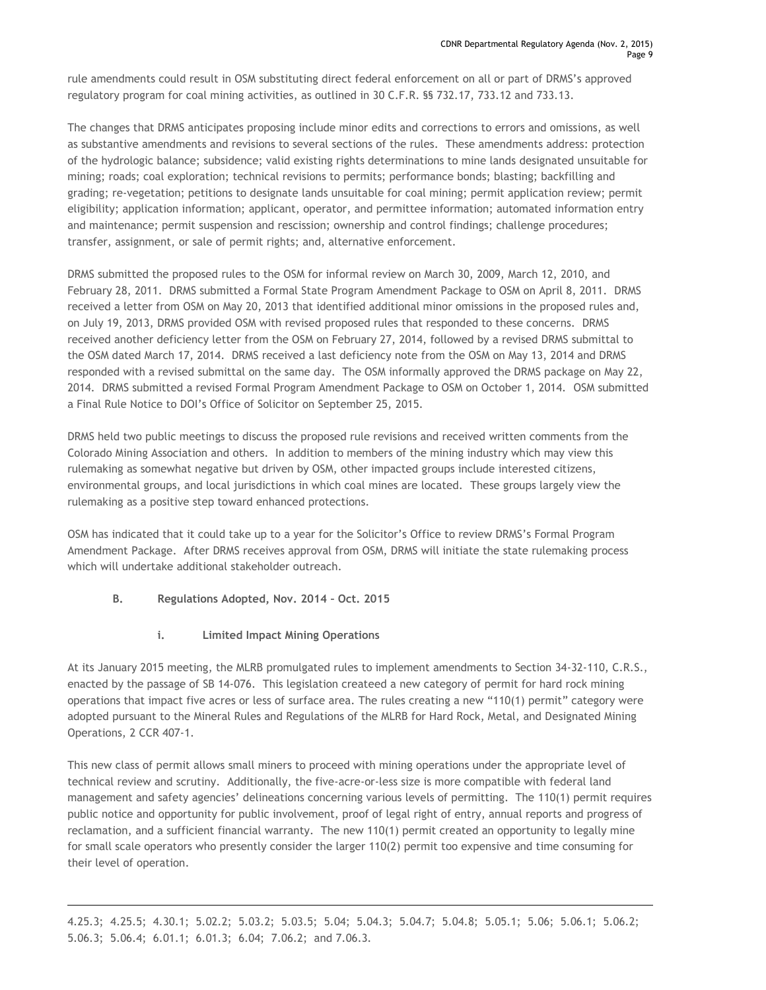rule amendments could result in OSM substituting direct federal enforcement on all or part of DRMS's approved regulatory program for coal mining activities, as outlined in 30 C.F.R. §§ 732.17, 733.12 and 733.13.

The changes that DRMS anticipates proposing include minor edits and corrections to errors and omissions, as well as substantive amendments and revisions to several sections of the rules. These amendments address: protection of the hydrologic balance; subsidence; valid existing rights determinations to mine lands designated unsuitable for mining; roads; coal exploration; technical revisions to permits; performance bonds; blasting; backfilling and grading; re-vegetation; petitions to designate lands unsuitable for coal mining; permit application review; permit eligibility; application information; applicant, operator, and permittee information; automated information entry and maintenance; permit suspension and rescission; ownership and control findings; challenge procedures; transfer, assignment, or sale of permit rights; and, alternative enforcement.

DRMS submitted the proposed rules to the OSM for informal review on March 30, 2009, March 12, 2010, and February 28, 2011. DRMS submitted a Formal State Program Amendment Package to OSM on April 8, 2011. DRMS received a letter from OSM on May 20, 2013 that identified additional minor omissions in the proposed rules and, on July 19, 2013, DRMS provided OSM with revised proposed rules that responded to these concerns. DRMS received another deficiency letter from the OSM on February 27, 2014, followed by a revised DRMS submittal to the OSM dated March 17, 2014. DRMS received a last deficiency note from the OSM on May 13, 2014 and DRMS responded with a revised submittal on the same day. The OSM informally approved the DRMS package on May 22, 2014. DRMS submitted a revised Formal Program Amendment Package to OSM on October 1, 2014. OSM submitted a Final Rule Notice to DOI's Office of Solicitor on September 25, 2015.

DRMS held two public meetings to discuss the proposed rule revisions and received written comments from the Colorado Mining Association and others. In addition to members of the mining industry which may view this rulemaking as somewhat negative but driven by OSM, other impacted groups include interested citizens, environmental groups, and local jurisdictions in which coal mines are located. These groups largely view the rulemaking as a positive step toward enhanced protections.

OSM has indicated that it could take up to a year for the Solicitor's Office to review DRMS's Formal Program Amendment Package. After DRMS receives approval from OSM, DRMS will initiate the state rulemaking process which will undertake additional stakeholder outreach.

**B. Regulations Adopted, Nov. 2014 – Oct. 2015** 

 $\overline{a}$ 

**i. Limited Impact Mining Operations**

At its January 2015 meeting, the MLRB promulgated rules to implement amendments to Section 34-32-110, C.R.S., enacted by the passage of SB 14-076. This legislation createed a new category of permit for hard rock mining operations that impact five acres or less of surface area. The rules creating a new "110(1) permit" category were adopted pursuant to the Mineral Rules and Regulations of the MLRB for Hard Rock, Metal, and Designated Mining Operations, 2 CCR 407-1.

This new class of permit allows small miners to proceed with mining operations under the appropriate level of technical review and scrutiny. Additionally, the five-acre-or-less size is more compatible with federal land management and safety agencies' delineations concerning various levels of permitting. The 110(1) permit requires public notice and opportunity for public involvement, proof of legal right of entry, annual reports and progress of reclamation, and a sufficient financial warranty. The new 110(1) permit created an opportunity to legally mine for small scale operators who presently consider the larger 110(2) permit too expensive and time consuming for their level of operation.

4.25.3; 4.25.5; 4.30.1; 5.02.2; 5.03.2; 5.03.5; 5.04; 5.04.3; 5.04.7; 5.04.8; 5.05.1; 5.06; 5.06.1; 5.06.2; 5.06.3; 5.06.4; 6.01.1; 6.01.3; 6.04; 7.06.2; and 7.06.3.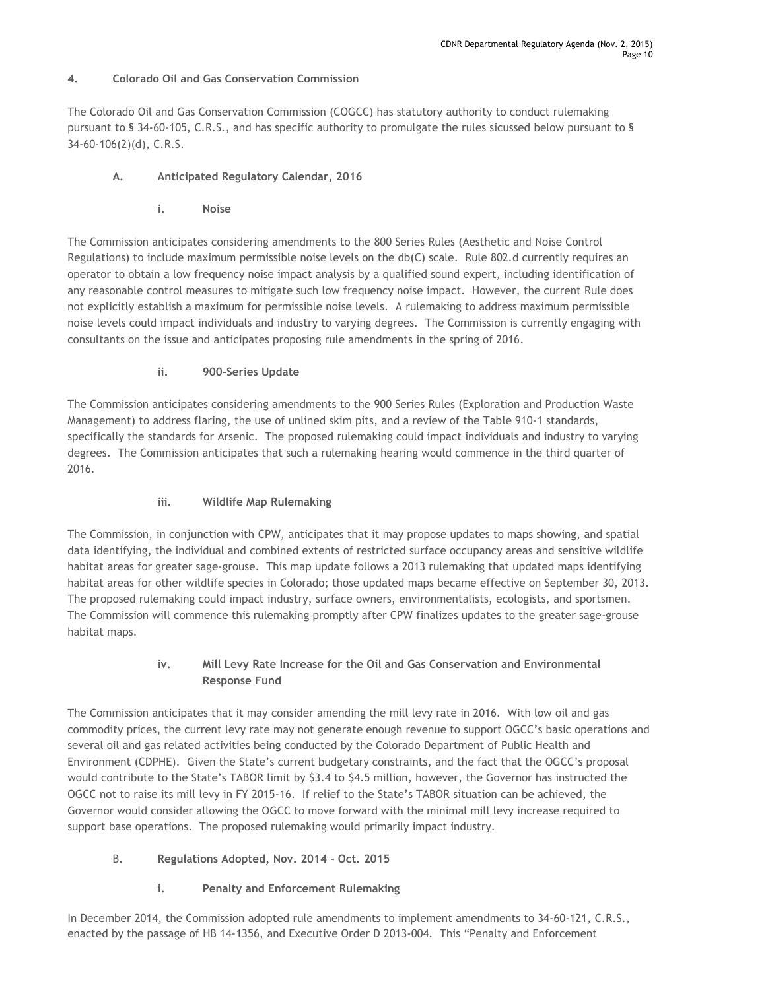#### **4. Colorado Oil and Gas Conservation Commission**

The Colorado Oil and Gas Conservation Commission (COGCC) has statutory authority to conduct rulemaking pursuant to § 34-60-105, C.R.S., and has specific authority to promulgate the rules sicussed below pursuant to § 34-60-106(2)(d), C.R.S.

#### **A. Anticipated Regulatory Calendar, 2016**

**i. Noise**

The Commission anticipates considering amendments to the 800 Series Rules (Aesthetic and Noise Control Regulations) to include maximum permissible noise levels on the db(C) scale. Rule 802.d currently requires an operator to obtain a low frequency noise impact analysis by a qualified sound expert, including identification of any reasonable control measures to mitigate such low frequency noise impact. However, the current Rule does not explicitly establish a maximum for permissible noise levels. A rulemaking to address maximum permissible noise levels could impact individuals and industry to varying degrees. The Commission is currently engaging with consultants on the issue and anticipates proposing rule amendments in the spring of 2016.

# **ii. 900-Series Update**

The Commission anticipates considering amendments to the 900 Series Rules (Exploration and Production Waste Management) to address flaring, the use of unlined skim pits, and a review of the Table 910-1 standards, specifically the standards for Arsenic. The proposed rulemaking could impact individuals and industry to varying degrees. The Commission anticipates that such a rulemaking hearing would commence in the third quarter of 2016.

#### **iii. Wildlife Map Rulemaking**

The Commission, in conjunction with CPW, anticipates that it may propose updates to maps showing, and spatial data identifying, the individual and combined extents of restricted surface occupancy areas and sensitive wildlife habitat areas for greater sage-grouse. This map update follows a 2013 rulemaking that updated maps identifying habitat areas for other wildlife species in Colorado; those updated maps became effective on September 30, 2013. The proposed rulemaking could impact industry, surface owners, environmentalists, ecologists, and sportsmen. The Commission will commence this rulemaking promptly after CPW finalizes updates to the greater sage-grouse habitat maps.

# **iv. Mill Levy Rate Increase for the Oil and Gas Conservation and Environmental Response Fund**

The Commission anticipates that it may consider amending the mill levy rate in 2016. With low oil and gas commodity prices, the current levy rate may not generate enough revenue to support OGCC's basic operations and several oil and gas related activities being conducted by the Colorado Department of Public Health and Environment (CDPHE). Given the State's current budgetary constraints, and the fact that the OGCC's proposal would contribute to the State's TABOR limit by \$3.4 to \$4.5 million, however, the Governor has instructed the OGCC not to raise its mill levy in FY 2015-16. If relief to the State's TABOR situation can be achieved, the Governor would consider allowing the OGCC to move forward with the minimal mill levy increase required to support base operations. The proposed rulemaking would primarily impact industry.

# B. **Regulations Adopted, Nov. 2014 – Oct. 2015**

**i. Penalty and Enforcement Rulemaking**

In December 2014, the Commission adopted rule amendments to implement amendments to 34-60-121, C.R.S., enacted by the passage of HB 14-1356, and Executive Order D 2013-004. This "Penalty and Enforcement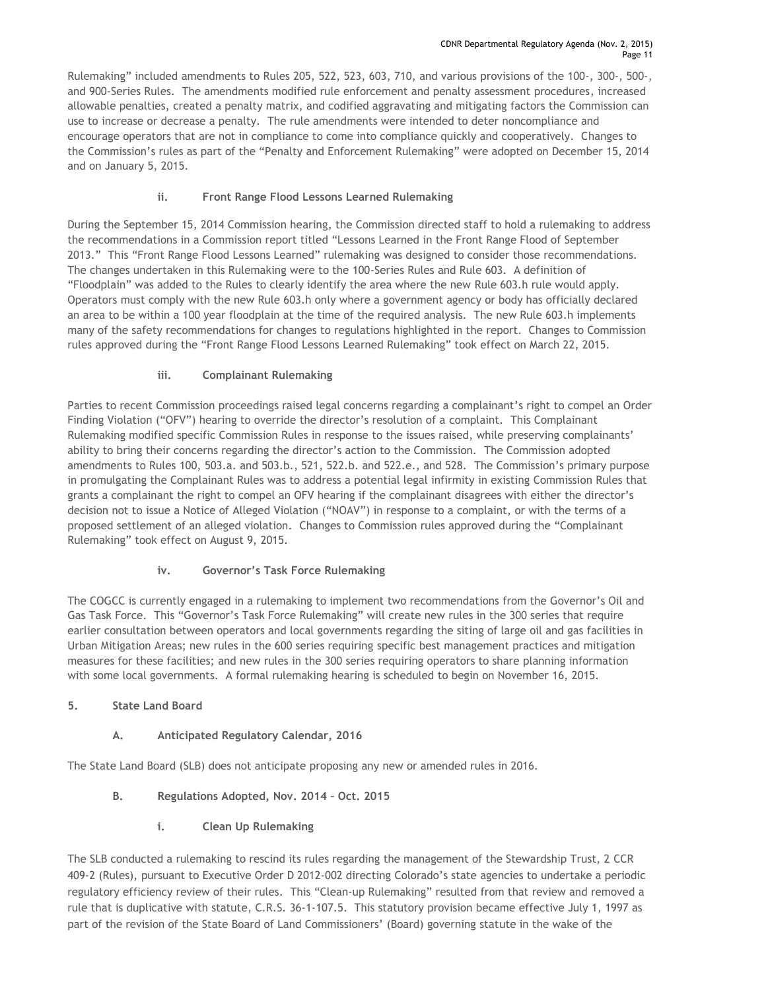Rulemaking" included amendments to Rules 205, 522, 523, 603, 710, and various provisions of the 100-, 300-, 500-, and 900-Series Rules. The amendments modified rule enforcement and penalty assessment procedures, increased allowable penalties, created a penalty matrix, and codified aggravating and mitigating factors the Commission can use to increase or decrease a penalty. The rule amendments were intended to deter noncompliance and encourage operators that are not in compliance to come into compliance quickly and cooperatively. Changes to the Commission's rules as part of the "Penalty and Enforcement Rulemaking" were adopted on December 15, 2014 and on January 5, 2015.

# **ii. Front Range Flood Lessons Learned Rulemaking**

During the September 15, 2014 Commission hearing, the Commission directed staff to hold a rulemaking to address the recommendations in a Commission report titled "Lessons Learned in the Front Range Flood of September 2013." This "Front Range Flood Lessons Learned" rulemaking was designed to consider those recommendations. The changes undertaken in this Rulemaking were to the 100-Series Rules and Rule 603. A definition of "Floodplain" was added to the Rules to clearly identify the area where the new Rule 603.h rule would apply. Operators must comply with the new Rule 603.h only where a government agency or body has officially declared an area to be within a 100 year floodplain at the time of the required analysis. The new Rule 603.h implements many of the safety recommendations for changes to regulations highlighted in the report. Changes to Commission rules approved during the "Front Range Flood Lessons Learned Rulemaking" took effect on March 22, 2015.

#### **iii. Complainant Rulemaking**

Parties to recent Commission proceedings raised legal concerns regarding a complainant's right to compel an Order Finding Violation ("OFV") hearing to override the director's resolution of a complaint. This Complainant Rulemaking modified specific Commission Rules in response to the issues raised, while preserving complainants' ability to bring their concerns regarding the director's action to the Commission. The Commission adopted amendments to Rules 100, 503.a. and 503.b., 521, 522.b. and 522.e., and 528. The Commission's primary purpose in promulgating the Complainant Rules was to address a potential legal infirmity in existing Commission Rules that grants a complainant the right to compel an OFV hearing if the complainant disagrees with either the director's decision not to issue a Notice of Alleged Violation ("NOAV") in response to a complaint, or with the terms of a proposed settlement of an alleged violation. Changes to Commission rules approved during the "Complainant Rulemaking" took effect on August 9, 2015.

# **iv. Governor's Task Force Rulemaking**

The COGCC is currently engaged in a rulemaking to implement two recommendations from the Governor's Oil and Gas Task Force. This "Governor's Task Force Rulemaking" will create new rules in the 300 series that require earlier consultation between operators and local governments regarding the siting of large oil and gas facilities in Urban Mitigation Areas; new rules in the 600 series requiring specific best management practices and mitigation measures for these facilities; and new rules in the 300 series requiring operators to share planning information with some local governments. A formal rulemaking hearing is scheduled to begin on November 16, 2015.

# **5. State Land Board**

# **A. Anticipated Regulatory Calendar, 2016**

The State Land Board (SLB) does not anticipate proposing any new or amended rules in 2016.

# **B. Regulations Adopted, Nov. 2014 – Oct. 2015**

**i. Clean Up Rulemaking**

The SLB conducted a rulemaking to rescind its rules regarding the management of the Stewardship Trust, 2 CCR 409-2 (Rules), pursuant to Executive Order D 2012-002 directing Colorado's state agencies to undertake a periodic regulatory efficiency review of their rules. This "Clean-up Rulemaking" resulted from that review and removed a rule that is duplicative with statute, C.R.S. 36-1-107.5. This statutory provision became effective July 1, 1997 as part of the revision of the State Board of Land Commissioners' (Board) governing statute in the wake of the